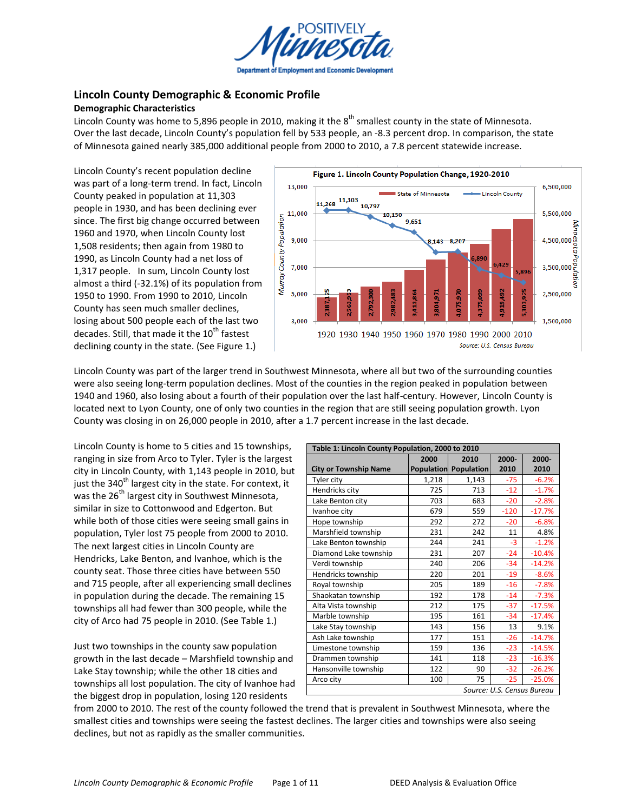

# **Lincoln County Demographic & Economic Profile Demographic!Characteristics**

Lincoln County was home to 5,896 people in 2010, making it the 8<sup>th</sup> smallest county in the state of Minnesota. Over the last decade, Lincoln County's population fell by 533 people, an -8.3 percent drop. In comparison, the state of Minnesota gained nearly 385,000 additional people from 2000 to 2010, a 7.8 percent statewide increase.

Lincoln County's recent population decline was part of a long-term trend. In fact, Lincoln County peaked in population at 11,303 people in 1930, and has been declining ever since. The first big change occurred between 1960 and 1970, when Lincoln County lost 1,508 residents; then again from 1980 to 1990, as Lincoln County had a net loss of 1,317 people. In sum, Lincoln County lost almost a third ( $-32.1\%$ ) of its population from 1950 to 1990. From 1990 to 2010, Lincoln County has seen much smaller declines, losing about 500 people each of the last two decades. Still, that made it the  $10<sup>th</sup>$  fastest declining county in the state. (See Figure 1.)



Lincoln County was part of the larger trend in Southwest Minnesota, where all but two of the surrounding counties were also seeing long-term population declines. Most of the counties in the region peaked in population between 1940 and 1960, also losing about a fourth of their population over the last half-century. However, Lincoln County is located next to Lyon County, one of only two counties in the region that are still seeing population growth. Lyon County was closing in on 26,000 people in 2010, after a 1.7 percent increase in the last decade.

Lincoln County is home to 5 cities and 15 townships, ranging in size from Arco to Tyler. Tyler is the largest city in Lincoln County, with 1,143 people in 2010, but just the  $340<sup>th</sup>$  largest city in the state. For context, it was the  $26<sup>th</sup>$  largest city in Southwest Minnesota, similar in size to Cottonwood and Edgerton. But while both of those cities were seeing small gains in population, Tyler lost 75 people from 2000 to 2010. The next largest cities in Lincoln County are Hendricks, Lake Benton, and Ivanhoe, which is the county seat. Those three cities have between 550 and 715 people, after all experiencing small declines in population during the decade. The remaining 15 townships all had fewer than 300 people, while the city of Arco had 75 people in 2010. (See Table 1.)

Just two townships in the county saw population growth in the last decade  $-$  Marshfield township and Lake Stay township; while the other 18 cities and townships all lost population. The city of Ivanhoe had the biggest drop in population, losing 120 residents

| Table 1: Lincoln County Population, 2000 to 2010 |       |                              |                            |          |  |  |  |  |
|--------------------------------------------------|-------|------------------------------|----------------------------|----------|--|--|--|--|
|                                                  | 2000  | 2010                         | 2000-                      | 2000-    |  |  |  |  |
| <b>City or Township Name</b>                     |       | <b>Population Population</b> | 2010                       | 2010     |  |  |  |  |
| Tyler city                                       | 1,218 | 1,143                        | $-75$                      | $-6.2%$  |  |  |  |  |
| Hendricks city                                   | 725   | 713                          | $-12$                      | $-1.7%$  |  |  |  |  |
| Lake Benton city                                 | 703   | 683                          | $-20$                      | $-2.8%$  |  |  |  |  |
| Ivanhoe city                                     | 679   | 559                          | $-120$                     | $-17.7%$ |  |  |  |  |
| Hope township                                    | 292   | 272                          | $-20$                      | $-6.8%$  |  |  |  |  |
| Marshfield township                              | 231   | 242                          | 11                         | 4.8%     |  |  |  |  |
| Lake Benton township                             | 244   | 241                          | $-3$                       | $-1.2%$  |  |  |  |  |
| Diamond Lake township                            | 231   | 207                          | $-24$                      | $-10.4%$ |  |  |  |  |
| Verdi township                                   | 240   | 206                          | $-34$                      | $-14.2%$ |  |  |  |  |
| Hendricks township                               | 220   | 201                          | $-19$                      | $-8.6%$  |  |  |  |  |
| Royal township                                   | 205   | 189                          | $-16$                      | $-7.8%$  |  |  |  |  |
| Shaokatan township                               | 192   | 178                          | $-14$                      | $-7.3%$  |  |  |  |  |
| Alta Vista township                              | 212   | 175                          | $-37$                      | $-17.5%$ |  |  |  |  |
| Marble township                                  | 195   | 161                          | $-34$                      | $-17.4%$ |  |  |  |  |
| Lake Stay township                               | 143   | 156                          | 13                         | 9.1%     |  |  |  |  |
| Ash Lake township                                | 177   | 151                          | $-26$                      | $-14.7%$ |  |  |  |  |
| Limestone township                               | 159   | 136                          | $-23$                      | $-14.5%$ |  |  |  |  |
| Drammen township                                 | 141   | 118                          | $-23$                      | $-16.3%$ |  |  |  |  |
| Hansonville township                             | 122   | 90                           | $-32$                      | $-26.2%$ |  |  |  |  |
| Arco city                                        | 100   | 75                           | $-25$                      | $-25.0%$ |  |  |  |  |
|                                                  |       |                              | Source: U.S. Census Bureau |          |  |  |  |  |

from 2000 to 2010. The rest of the county followed the trend that is prevalent in Southwest Minnesota, where the smallest cities and townships were seeing the fastest declines. The larger cities and townships were also seeing declines, but not as rapidly as the smaller communities.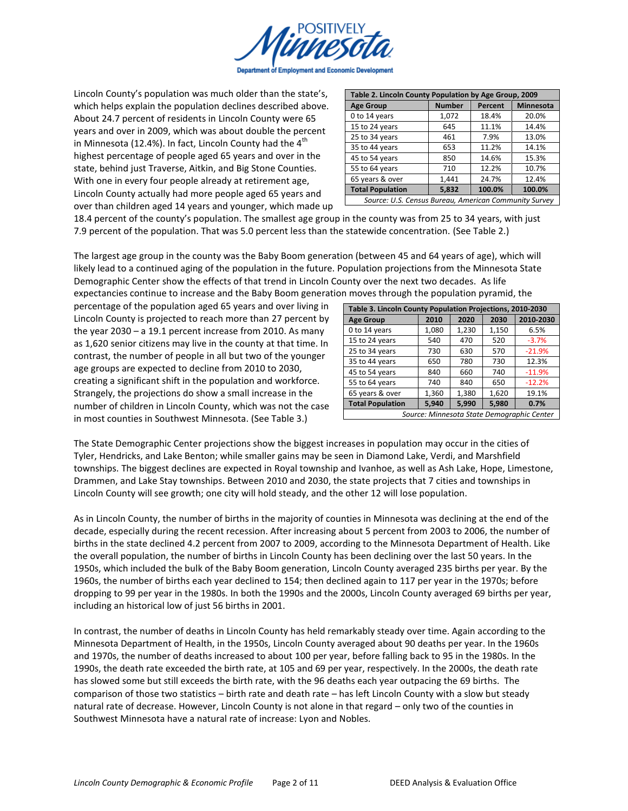

Lincoln County's population was much older than the state's, which helps explain the population declines described above. About 24.7 percent of residents in Lincoln County were 65 years and over in 2009, which was about double the percent in Minnesota (12.4%). In fact, Lincoln County had the  $4<sup>th</sup>$ highest percentage of people aged 65 years and over in the state, behind just Traverse, Aitkin, and Big Stone Counties. With one in every four people already at retirement age, Lincoln County actually had more people aged 65 years and over than children aged 14 years and younger, which made up

| Table 2. Lincoln County Population by Age Group, 2009 |                           |         |                  |  |  |  |  |  |
|-------------------------------------------------------|---------------------------|---------|------------------|--|--|--|--|--|
| <b>Age Group</b>                                      | <b>Number</b>             | Percent | <b>Minnesota</b> |  |  |  |  |  |
| 0 to 14 years                                         | 1,072                     | 18.4%   | 20.0%            |  |  |  |  |  |
| 15 to 24 years                                        | 645                       | 11.1%   | 14.4%            |  |  |  |  |  |
| 25 to 34 years                                        | 461                       | 7.9%    | 13.0%            |  |  |  |  |  |
| 35 to 44 years                                        | 653                       | 11.2%   | 14.1%            |  |  |  |  |  |
| 45 to 54 years                                        | 850                       | 14.6%   | 15.3%            |  |  |  |  |  |
| 55 to 64 years                                        | 710                       | 12.2%   | 10.7%            |  |  |  |  |  |
| 65 years & over                                       | 1,441                     | 24.7%   | 12.4%            |  |  |  |  |  |
| <b>Total Population</b>                               | 100.0%<br>5,832<br>100.0% |         |                  |  |  |  |  |  |
| Source: U.S. Census Bureau, American Community Survey |                           |         |                  |  |  |  |  |  |

18.4 percent of the county's population. The smallest age group in the county was from 25 to 34 years, with just 7.9 percent of the population. That was 5.0 percent less than the statewide concentration. (See Table 2.)

The largest age group in the county was the Baby Boom generation (between 45 and 64 years of age), which will likely lead to a continued aging of the population in the future. Population projections from the Minnesota State Demographic Center show the effects of that trend in Lincoln County over the next two decades. As life expectancies continue to increase and the Baby Boom generation moves through the population pyramid, the

percentage of the population aged 65 years and over living in Lincoln County is projected to reach more than 27 percent by the year  $2030 - a 19.1$  percent increase from 2010. As many as 1,620 senior citizens may live in the county at that time. In contrast, the number of people in all but two of the younger age groups are expected to decline from 2010 to 2030, creating a significant shift in the population and workforce. Strangely, the projections do show a small increase in the number of children in Lincoln County, which was not the case in most counties in Southwest Minnesota. (See Table 3.)

| Table 3. Lincoln County Population Projections, 2010-2030  |       |       |       |           |  |  |  |
|------------------------------------------------------------|-------|-------|-------|-----------|--|--|--|
| <b>Age Group</b>                                           | 2010  | 2020  | 2030  | 2010-2030 |  |  |  |
| 0 to 14 years                                              | 1,080 | 1,230 | 1,150 | 6.5%      |  |  |  |
| 15 to 24 years                                             | 540   | 470   | 520   | $-3.7%$   |  |  |  |
| 25 to 34 years                                             | 730   | 630   | 570   | $-21.9%$  |  |  |  |
| 35 to 44 years                                             | 650   | 780   | 730   | 12.3%     |  |  |  |
| 45 to 54 years                                             | 840   | 660   | 740   | $-11.9%$  |  |  |  |
| 55 to 64 years                                             | 740   | 840   | 650   | $-12.2%$  |  |  |  |
| 65 years & over                                            | 1,360 | 1,380 | 1,620 | 19.1%     |  |  |  |
| <b>Total Population</b><br>5,940<br>5,990<br>5,980<br>0.7% |       |       |       |           |  |  |  |
| Source: Minnesota State Demographic Center                 |       |       |       |           |  |  |  |

The State Demographic Center projections show the biggest increases in population may occur in the cities of Tyler, Hendricks, and Lake Benton; while smaller gains may be seen in Diamond Lake, Verdi, and Marshfield townships. The biggest declines are expected in Royal township and Ivanhoe, as well as Ash Lake, Hope, Limestone, Drammen, and Lake Stay townships. Between 2010 and 2030, the state projects that 7 cities and townships in Lincoln County will see growth; one city will hold steady, and the other 12 will lose population.

As in Lincoln County, the number of births in the majority of counties in Minnesota was declining at the end of the decade, especially during the recent recession. After increasing about 5 percent from 2003 to 2006, the number of births in the state declined 4.2 percent from 2007 to 2009, according to the Minnesota Department of Health. Like the overall population, the number of births in Lincoln County has been declining over the last 50 years. In the 1950s, which included the bulk of the Baby Boom generation, Lincoln County averaged 235 births per year. By the 1960s, the number of births each year declined to 154; then declined again to 117 per year in the 1970s; before dropping to 99 per year in the 1980s. In both the 1990s and the 2000s, Lincoln County averaged 69 births per year, including an historical low of just 56 births in 2001.

In contrast, the number of deaths in Lincoln County has held remarkably steady over time. Again according to the Minnesota Department of Health, in the 1950s, Lincoln County averaged about 90 deaths per year. In the 1960s and 1970s, the number of deaths increased to about 100 per year, before falling back to 95 in the 1980s. In the 1990s, the death rate exceeded the birth rate, at 105 and 69 per year, respectively. In the 2000s, the death rate has slowed some but still exceeds the birth rate, with the 96 deaths each year outpacing the 69 births. The comparison of those two statistics – birth rate and death rate – has left Lincoln County with a slow but steady natural rate of decrease. However, Lincoln County is not alone in that regard – only two of the counties in Southwest Minnesota have a natural rate of increase: Lyon and Nobles.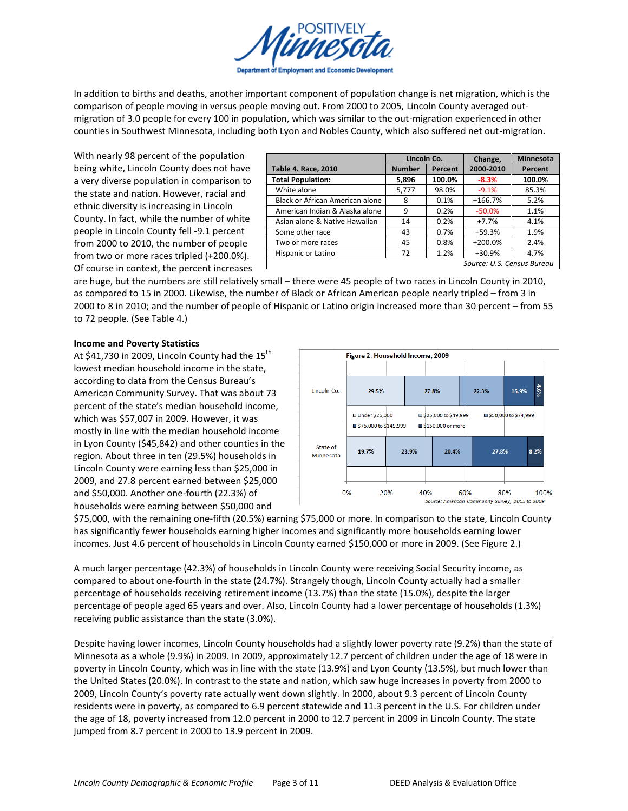

In addition to births and deaths, another important component of population change is net migration, which is the comparison of people moving in versus people moving out. From 2000 to 2005, Lincoln County averaged outmigration of 3.0 people for every 100 in population, which was similar to the out-migration experienced in other counties in Southwest Minnesota, including both Lyon and Nobles County, which also suffered net out-migration.

With nearly 98 percent of the population being white, Lincoln County does not have a very diverse population in comparison to the state and nation. However, racial and ethnic diversity is increasing in Lincoln County. In fact, while the number of white people in Lincoln County fell -9.1 percent from 2000 to 2010, the number of people from two or more races tripled  $(+200.0\%)$ . Of course in context, the percent increases

|                                 | Lincoln Co.   |         | Change,                    | <b>Minnesota</b> |
|---------------------------------|---------------|---------|----------------------------|------------------|
| <b>Table 4. Race, 2010</b>      | <b>Number</b> | Percent | 2000-2010                  | Percent          |
| <b>Total Population:</b>        | 5,896         | 100.0%  | $-8.3%$                    | 100.0%           |
| White alone                     | 5,777         | 98.0%   | $-9.1%$                    | 85.3%            |
| Black or African American alone | 8             | 0.1%    | $+166.7%$                  | 5.2%             |
| American Indian & Alaska alone  | 9             | 0.2%    | $-50.0%$                   | 1.1%             |
| Asian alone & Native Hawaiian   | 14            | 0.2%    | $+7.7%$                    | 4.1%             |
| Some other race                 | 43            | 0.7%    | $+59.3%$                   | 1.9%             |
| Two or more races               | 45            | 0.8%    | $+200.0%$                  | 2.4%             |
| Hispanic or Latino              | 72            | 1.2%    | +30.9%                     | 4.7%             |
|                                 |               |         | Source: U.S. Census Bureau |                  |

are huge, but the numbers are still relatively small - there were 45 people of two races in Lincoln County in 2010, as compared to 15 in 2000. Likewise, the number of Black or African American people nearly tripled – from 3 in 2000 to 8 in 2010; and the number of people of Hispanic or Latino origin increased more than 30 percent – from 55 to 72 people. (See Table 4.)

### **Income and Poverty Statistics**

At \$41,730 in 2009, Lincoln County had the  $15^{th}$ lowest median household income in the state, according to data from the Census Bureau's American Community Survey. That was about 73 percent of the state's median household income, which was \$57,007 in 2009. However, it was mostly in line with the median household income in Lyon County (\$45,842) and other counties in the region. About three in ten (29.5%) households in Lincoln County were earning less than \$25,000 in 2009, and 27.8 percent earned between \$25,000 and \$50,000. Another one-fourth (22.3%) of households were earning between \$50,000 and



\$75,000, with the remaining one-fifth (20.5%) earning \$75,000 or more. In comparison to the state, Lincoln County has significantly fewer households earning higher incomes and significantly more households earning lower incomes. Just 4.6 percent of households in Lincoln County earned \$150,000 or more in 2009. (See Figure 2.)

A much larger percentage (42.3%) of households in Lincoln County were receiving Social Security income, as compared to about one-fourth in the state (24.7%). Strangely though, Lincoln County actually had a smaller percentage of households receiving retirement income (13.7%) than the state (15.0%), despite the larger percentage of people aged 65 years and over. Also, Lincoln County had a lower percentage of households (1.3%) receiving public assistance than the state (3.0%).

Despite having lower incomes, Lincoln County households had a slightly lower poverty rate (9.2%) than the state of Minnesota as a whole (9.9%) in 2009. In 2009, approximately 12.7 percent of children under the age of 18 were in poverty in Lincoln County, which was in line with the state (13.9%) and Lyon County (13.5%), but much lower than the United States (20.0%). In contrast to the state and nation, which saw huge increases in poverty from 2000 to 2009, Lincoln County's poverty rate actually went down slightly. In 2000, about 9.3 percent of Lincoln County residents were in poverty, as compared to 6.9 percent statewide and 11.3 percent in the U.S. For children under the age of 18, poverty increased from 12.0 percent in 2000 to 12.7 percent in 2009 in Lincoln County. The state jumped from 8.7 percent in 2000 to 13.9 percent in 2009.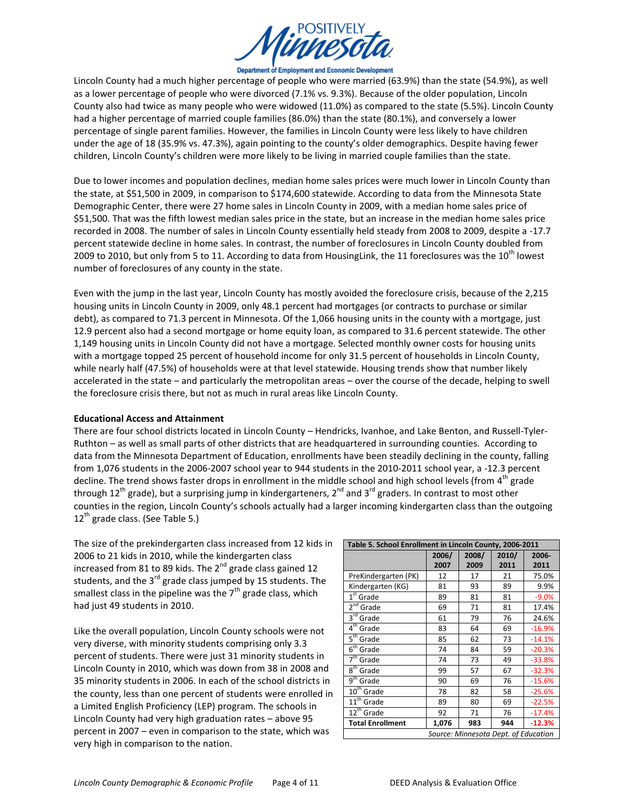

Department of Employment and Economic Development

Lincoln County had a much higher percentage of people who were married (63.9%) than the state (54.9%), as well as a lower percentage of people who were divorced (7.1% vs. 9.3%). Because of the older population, Lincoln County also had twice as many people who were widowed (11.0%) as compared to the state (5.5%). Lincoln County had a higher percentage of married couple families (86.0%) than the state (80.1%), and conversely a lower percentage of single parent families. However, the families in Lincoln County were less likely to have children under the age of 18 (35.9% vs. 47.3%), again pointing to the county's older demographics. Despite having fewer children, Lincoln County's children were more likely to be living in married couple families than the state.

Due to lower incomes and population declines, median home sales prices were much lower in Lincoln County than the state, at \$51,500 in 2009, in comparison to \$174,600 statewide. According to data from the Minnesota State Demographic Center, there were 27 home sales in Lincoln County in 2009, with a median home sales price of \$51,500. That was the fifth lowest median sales price in the state, but an increase in the median home sales price recorded in 2008. The number of sales in Lincoln County essentially held steady from 2008 to 2009, despite a -17.7 percent statewide decline in home sales. In contrast, the number of foreclosures in Lincoln County doubled from 2009 to 2010, but only from 5 to 11. According to data from HousingLink, the 11 foreclosures was the 10<sup>th</sup> lowest number of foreclosures of any county in the state.

Even with the jump in the last year, Lincoln County has mostly avoided the foreclosure crisis, because of the 2,215 housing units in Lincoln County in 2009, only 48.1 percent had mortgages (or contracts to purchase or similar debt), as compared to 71.3 percent in Minnesota. Of the 1,066 housing units in the county with a mortgage, just 12.9 percent also had a second mortgage or home equity loan, as compared to 31.6 percent statewide. The other 1,149 housing units in Lincoln County did not have a mortgage. Selected monthly owner costs for housing units with a mortgage topped 25 percent of household income for only 31.5 percent of households in Lincoln County, while nearly half (47.5%) of households were at that level statewide. Housing trends show that number likely accelerated in the state – and particularly the metropolitan areas – over the course of the decade, helping to swell the foreclosure crisis there, but not as much in rural areas like Lincoln County.

### **Educational Access and Attainment**

There are four school districts located in Lincoln County - Hendricks, Ivanhoe, and Lake Benton, and Russell-Tyler-Ruthton - as well as small parts of other districts that are headquartered in surrounding counties. According to data from the Minnesota Department of Education, enrollments have been steadily declining in the county, falling from 1,076 students in the 2006-2007 school year to 944 students in the 2010-2011 school year, a -12.3 percent decline. The trend shows faster drops in enrollment in the middle school and high school levels (from 4<sup>th</sup> grade through 12<sup>th</sup> grade), but a surprising jump in kindergarteners, 2<sup>nd</sup> and 3<sup>rd</sup> graders. In contrast to most other counties in the region, Lincoln County's schools actually had a larger incoming kindergarten class than the outgoing  $12^{th}$  grade class. (See Table 5.)

The size of the prekindergarten class increased from 12 kids in 2006 to 21 kids in 2010, while the kindergarten class increased from 81 to 89 kids. The  $2^{nd}$  grade class gained 12 students, and the  $3^{rd}$  grade class jumped by 15 students. The smallest class in the pipeline was the  $7<sup>th</sup>$  grade class, which had just 49 students in 2010.

Like the overall population, Lincoln County schools were not very diverse, with minority students comprising only 3.3 percent of students. There were just 31 minority students in Lincoln County in 2010, which was down from 38 in 2008 and 35 minority students in 2006. In each of the school districts in the county, less than one percent of students were enrolled in a Limited English Proficiency (LEP) program. The schools in Lincoln County had very high graduation rates  $-$  above 95 percent in 2007 – even in comparison to the state, which was very high in comparison to the nation.

| Table 5. School Enrollment in Lincoln County, 2006-2011 |       |       |                                      |          |  |  |  |
|---------------------------------------------------------|-------|-------|--------------------------------------|----------|--|--|--|
|                                                         | 2006/ | 2008/ | 2010/                                | 2006-    |  |  |  |
|                                                         | 2007  | 2009  | 2011                                 | 2011     |  |  |  |
| PreKindergarten (PK)                                    | 12    | 17    | 21                                   | 75.0%    |  |  |  |
| Kindergarten (KG)                                       | 81    | 93    | 89                                   | 9.9%     |  |  |  |
| $1st$ Grade                                             | 89    | 81    | 81                                   | $-9.0%$  |  |  |  |
| $2^{nd}$<br>Grade                                       | 69    | 71    | 81                                   | 17.4%    |  |  |  |
| $3^{\text{rd}}$<br>Grade                                | 61    | 79    | 76                                   | 24.6%    |  |  |  |
| $\mathbf{4}^{\text{th}}$<br>Grade                       | 83    | 64    | 69                                   | $-16.9%$ |  |  |  |
| $5^{\text{th}}$<br>Grade                                | 85    | 62    | 73                                   | $-14.1%$ |  |  |  |
| $6^{\rm th}$<br>Grade                                   | 74    | 84    | 59                                   | $-20.3%$ |  |  |  |
| 7 <sup>th</sup><br>Grade                                | 74    | 73    | 49                                   | $-33.8%$ |  |  |  |
| $8^{\text{th}}$<br>Grade                                | 99    | 57    | 67                                   | $-32.3%$ |  |  |  |
| $g^{\rm th}$<br>Grade                                   | 90    | 69    | 76                                   | $-15.6%$ |  |  |  |
| $10^{\text{th}}$<br>Grade                               | 78    | 82    | 58                                   | $-25.6%$ |  |  |  |
| $11^{th}$ Grade                                         | 89    | 80    | 69                                   | $-22.5%$ |  |  |  |
| $12^{th}$<br>Grade                                      | 92    | 71    | 76                                   | $-17.4%$ |  |  |  |
| <b>Total Enrollment</b>                                 | 1,076 | 983   | 944                                  | $-12.3%$ |  |  |  |
|                                                         |       |       | Source: Minnesota Dept. of Education |          |  |  |  |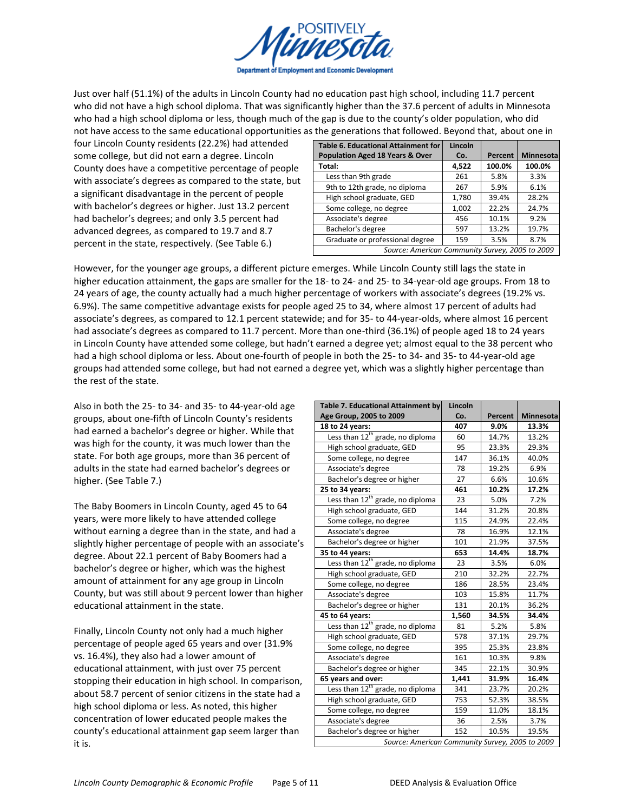

Just over half (51.1%) of the adults in Lincoln County had no education past high school, including 11.7 percent who did not have a high school diploma. That was significantly higher than the 37.6 percent of adults in Minnesota who had a high school diploma or less, though much of the gap is due to the county's older population, who did not have access to the same educational opportunities as the generations that followed. Beyond that, about one in

four Lincoln County residents (22.2%) had attended some college, but did not earn a degree. Lincoln County does have a competitive percentage of people with associate's degrees as compared to the state, but a significant disadvantage in the percent of people with bachelor's degrees or higher. Just 13.2 percent had bachelor's degrees; and only 3.5 percent had advanced degrees, as compared to 19.7 and 8.7 percent in the state, respectively. (See Table 6.)

| <b>Table 6. Educational Attainment for</b>      | Lincoln |         |                  |
|-------------------------------------------------|---------|---------|------------------|
| <b>Population Aged 18 Years &amp; Over</b>      | Co.     | Percent | <b>Minnesota</b> |
| Total:                                          | 4,522   | 100.0%  | 100.0%           |
| Less than 9th grade                             | 261     | 5.8%    | 3.3%             |
| 9th to 12th grade, no diploma                   | 267     | 5.9%    | 6.1%             |
| High school graduate, GED                       | 1,780   | 39.4%   | 28.2%            |
| Some college, no degree                         | 1,002   | 22.2%   | 24.7%            |
| Associate's degree                              | 456     | 10.1%   | 9.2%             |
| Bachelor's degree                               | 597     | 13.2%   | 19.7%            |
| Graduate or professional degree                 | 159     | 3.5%    | 8.7%             |
| Source: American Community Survey, 2005 to 2009 |         |         |                  |

However, for the younger age groups, a different picture emerges. While Lincoln County still lags the state in higher education attainment, the gaps are smaller for the 18- to 24- and 25- to 34-year-old age groups. From 18 to 24 years of age, the county actually had a much higher percentage of workers with associate's degrees (19.2% vs. 6.9%). The same competitive advantage exists for people aged 25 to 34, where almost 17 percent of adults had associate's degrees, as compared to 12.1 percent statewide; and for 35-to 44-year-olds, where almost 16 percent had associate's degrees as compared to 11.7 percent. More than one-third (36.1%) of people aged 18 to 24 years in Lincoln County have attended some college, but hadn't earned a degree yet; almost equal to the 38 percent who had a high school diploma or less. About one-fourth of people in both the 25-to 34- and 35-to 44-year-old age groups had attended some college, but had not earned a degree yet, which was a slightly higher percentage than the rest of the state.

Also in both the 25- to 34- and 35- to 44-year-old age groups, about one-fifth of Lincoln County's residents had earned a bachelor's degree or higher. While that was high for the county, it was much lower than the state. For both age groups, more than 36 percent of adults in the state had earned bachelor's degrees or higher. (See Table 7.)

The Baby Boomers in Lincoln County, aged 45 to 64 years, were more likely to have attended college without earning a degree than in the state, and had a slightly higher percentage of people with an associate's degree. About 22.1 percent of Baby Boomers had a bachelor's degree or higher, which was the highest amount of attainment for any age group in Lincoln County, but was still about 9 percent lower than higher educational attainment in the state.

Finally, Lincoln County not only had a much higher percentage of people aged 65 years and over (31.9% vs. 16.4%), they also had a lower amount of educational attainment, with just over 75 percent stopping their education in high school. In comparison, about 58.7 percent of senior citizens in the state had a high school diploma or less. As noted, this higher concentration of lower educated people makes the county's educational attainment gap seem larger than it is.

| <b>Table 7. Educational Attainment by</b>       | Lincoln |         |           |  |  |  |  |
|-------------------------------------------------|---------|---------|-----------|--|--|--|--|
| Age Group, 2005 to 2009                         | Co.     | Percent | Minnesota |  |  |  |  |
| 18 to 24 years:                                 | 407     | 9.0%    | 13.3%     |  |  |  |  |
| Less than 12 <sup>th</sup> grade, no diploma    | 60      | 14.7%   | 13.2%     |  |  |  |  |
| High school graduate, GED                       | 95      | 23.3%   | 29.3%     |  |  |  |  |
| Some college, no degree                         | 147     | 36.1%   | 40.0%     |  |  |  |  |
| Associate's degree                              | 78      | 19.2%   | 6.9%      |  |  |  |  |
| Bachelor's degree or higher                     | 27      | 6.6%    | 10.6%     |  |  |  |  |
| 25 to 34 years:                                 | 461     | 10.2%   | 17.2%     |  |  |  |  |
| Less than 12 <sup>th</sup> grade, no diploma    | 23      | 5.0%    | 7.2%      |  |  |  |  |
| High school graduate, GED                       | 144     | 31.2%   | 20.8%     |  |  |  |  |
| Some college, no degree                         | 115     | 24.9%   | 22.4%     |  |  |  |  |
| Associate's degree                              | 78      | 16.9%   | 12.1%     |  |  |  |  |
| Bachelor's degree or higher                     | 101     | 21.9%   | 37.5%     |  |  |  |  |
| 35 to 44 years:                                 | 653     | 14.4%   | 18.7%     |  |  |  |  |
| Less than 12 <sup>th</sup> grade, no diploma    | 23      | 3.5%    | 6.0%      |  |  |  |  |
| High school graduate, GED                       | 210     | 32.2%   | 22.7%     |  |  |  |  |
| Some college, no degree                         | 186     | 28.5%   | 23.4%     |  |  |  |  |
| Associate's degree                              | 103     | 15.8%   | 11.7%     |  |  |  |  |
| Bachelor's degree or higher                     | 131     | 20.1%   | 36.2%     |  |  |  |  |
| $\overline{45}$ to 64 years:                    | 1,560   | 34.5%   | 34.4%     |  |  |  |  |
| Less than 12 <sup>th</sup> grade, no diploma    | 81      | 5.2%    | 5.8%      |  |  |  |  |
| High school graduate, GED                       | 578     | 37.1%   | 29.7%     |  |  |  |  |
| Some college, no degree                         | 395     | 25.3%   | 23.8%     |  |  |  |  |
| Associate's degree                              | 161     | 10.3%   | 9.8%      |  |  |  |  |
| Bachelor's degree or higher                     | 345     | 22.1%   | 30.9%     |  |  |  |  |
| 65 years and over:                              | 1,441   | 31.9%   | 16.4%     |  |  |  |  |
| Less than 12 <sup>th</sup> grade, no diploma    | 341     | 23.7%   | 20.2%     |  |  |  |  |
| High school graduate, GED                       | 753     | 52.3%   | 38.5%     |  |  |  |  |
| Some college, no degree                         | 159     | 11.0%   | 18.1%     |  |  |  |  |
| Associate's degree                              | 36      | 2.5%    | 3.7%      |  |  |  |  |
| Bachelor's degree or higher                     | 152     | 10.5%   | 19.5%     |  |  |  |  |
| Source: American Community Survey, 2005 to 2009 |         |         |           |  |  |  |  |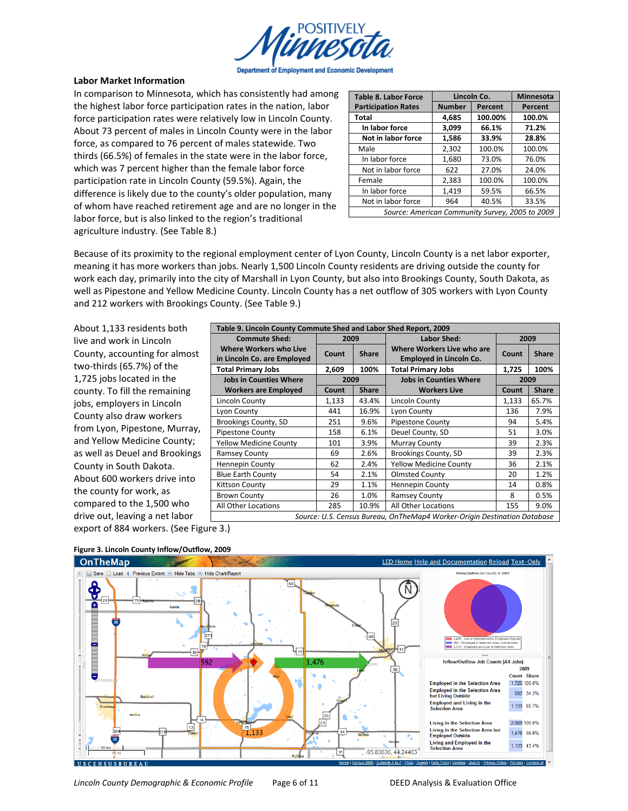

#### **Labor Market Information**

In comparison to Minnesota, which has consistently had among the highest labor force participation rates in the nation, labor force participation rates were relatively low in Lincoln County. About 73 percent of males in Lincoln County were in the labor force, as compared to 76 percent of males statewide. Two thirds (66.5%) of females in the state were in the labor force, which was 7 percent higher than the female labor force participation rate in Lincoln County (59.5%). Again, the difference is likely due to the county's older population, many of whom have reached retirement age and are no longer in the labor force, but is also linked to the region's traditional agriculture industry. (See Table 8.)

| <b>Table 8. Labor Force</b>                     |               | Lincoln Co. |         |  |
|-------------------------------------------------|---------------|-------------|---------|--|
| <b>Participation Rates</b>                      | <b>Number</b> | Percent     | Percent |  |
| <b>Total</b>                                    | 4,685         | 100.00%     | 100.0%  |  |
| In labor force                                  | 3,099         | 66.1%       | 71.2%   |  |
| Not in labor force                              | 1,586         | 33.9%       | 28.8%   |  |
| Male                                            | 2,302         | 100.0%      | 100.0%  |  |
| In labor force                                  | 1,680         | 73.0%       | 76.0%   |  |
| Not in labor force                              | 622           | 27.0%       | 24.0%   |  |
| Female                                          | 2,383         | 100.0%      | 100.0%  |  |
| In labor force                                  | 1,419         | 59.5%       | 66.5%   |  |
| Not in labor force                              | 964           | 40.5%       | 33.5%   |  |
| Source: American Community Survey, 2005 to 2009 |               |             |         |  |

Because of its proximity to the regional employment center of Lyon County, Lincoln County is a net labor exporter, meaning it has more workers than jobs. Nearly 1,500 Lincoln County residents are driving outside the county for work each day, primarily into the city of Marshall in Lyon County, but also into Brookings County, South Dakota, as well as Pipestone and Yellow Medicine County. Lincoln County has a net outflow of 305 workers with Lyon County and 212 workers with Brookings County. (See Table 9.)

About 1,133 residents both live and work in Lincoln County, accounting for almost two-thirds (65.7%) of the 1,725 jobs located in the county. To fill the remaining jobs, employers in Lincoln County also draw workers from Lyon, Pipestone, Murray, and Yellow Medicine County; as well as Deuel and Brookings County in South Dakota. About 600 workers drive into the county for work, as compared to the 1,500 who drive out, leaving a net labor

|                               | Table 9. Lincoln County Commute Shed and Labor Shed Report, 2009 |              |                                                                          |       |              |  |  |
|-------------------------------|------------------------------------------------------------------|--------------|--------------------------------------------------------------------------|-------|--------------|--|--|
| <b>Commute Shed:</b>          | 2009                                                             |              | <b>Labor Shed:</b>                                                       | 2009  |              |  |  |
| <b>Where Workers who Live</b> | Count                                                            | <b>Share</b> | Where Workers Live who are                                               | Count | <b>Share</b> |  |  |
| in Lincoln Co. are Employed   |                                                                  |              | <b>Employed in Lincoln Co.</b>                                           |       |              |  |  |
| <b>Total Primary Jobs</b>     | 2.609                                                            | 100%         | <b>Total Primary Jobs</b>                                                | 1,725 | 100%         |  |  |
| <b>Jobs in Counties Where</b> | 2009<br><b>Jobs in Counties Where</b>                            |              | 2009                                                                     |       |              |  |  |
| <b>Workers are Employed</b>   | <b>Count</b>                                                     | <b>Share</b> | <b>Workers Live</b>                                                      | Count | <b>Share</b> |  |  |
| Lincoln County                | 1,133                                                            | 43.4%        | Lincoln County                                                           | 1,133 | 65.7%        |  |  |
| Lyon County                   | 441                                                              | 16.9%        | Lyon County                                                              | 136   | 7.9%         |  |  |
| Brookings County, SD          | 251                                                              | 9.6%         | <b>Pipestone County</b>                                                  | 94    | 5.4%         |  |  |
| Pipestone County              | 158                                                              | 6.1%         | Deuel County, SD                                                         | 51    | 3.0%         |  |  |
| <b>Yellow Medicine County</b> | 101                                                              | 3.9%         | Murray County                                                            | 39    | 2.3%         |  |  |
| <b>Ramsey County</b>          | 69                                                               | 2.6%         | Brookings County, SD                                                     | 39    | 2.3%         |  |  |
| <b>Hennepin County</b>        | 62                                                               | 2.4%         | <b>Yellow Medicine County</b>                                            | 36    | 2.1%         |  |  |
| <b>Blue Earth County</b>      | 54                                                               | 2.1%         | <b>Olmsted County</b>                                                    | 20    | 1.2%         |  |  |
| Kittson County                | 29                                                               | 1.1%         | <b>Hennepin County</b>                                                   | 14    | 0.8%         |  |  |
| <b>Brown County</b>           | 26                                                               | 1.0%         | <b>Ramsey County</b>                                                     | 8     | 0.5%         |  |  |
| All Other Locations           | 285                                                              | 10.9%        | All Other Locations                                                      | 155   | 9.0%         |  |  |
|                               |                                                                  |              | Source: U.S. Census Bureau, OnTheMap4 Worker-Origin Destination Database |       |              |  |  |

export of 884 workers. (See Figure 3.)



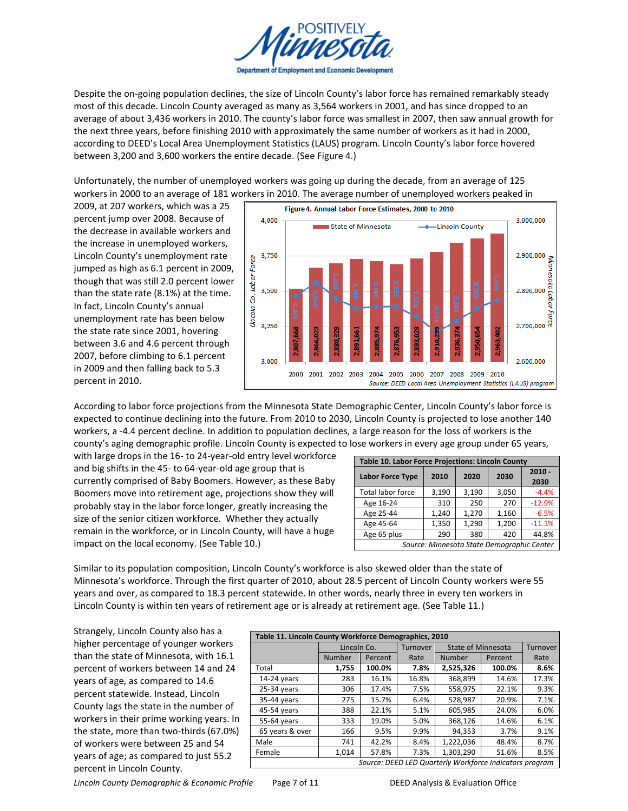

Despite the on-going population declines, the size of Lincoln County's labor force has remained remarkably steady most of this decade. Lincoln County averaged as many as 3,564 workers in 2001, and has since dropped to an average of about 3,436 workers in 2010. The county's labor force was smallest in 2007, then saw annual growth for the next three years, before finishing 2010 with approximately the same number of workers as it had in 2000, according to DEED's Local Area Unemployment Statistics (LAUS) program. Lincoln County's labor force hovered between 3,200 and 3,600 workers the entire decade. (See Figure 4.)

Unfortunately, the number of unemployed workers was going up during the decade, from an average of 125 workers in 2000 to an average of 181 workers in 2010. The average number of unemployed workers peaked in

2009, at 207 workers, which was a 25 percent jump over 2008. Because of the decrease in available workers and the increase in unemployed workers, Lincoln County's unemployment rate jumped as high as 6.1 percent in 2009, though that was still 2.0 percent lower than the state rate  $(8.1%)$  at the time. In fact, Lincoln County's annual unemployment rate has been below the state rate since 2001, hovering between 3.6 and 4.6 percent through 2007, before climbing to 6.1 percent in 2009 and then falling back to 5.3 percent in 2010.



According to labor force projections from the Minnesota State Demographic Center, Lincoln County's labor force is expected to continue declining into the future. From 2010 to 2030, Lincoln County is projected to lose another 140 workers, a -4.4 percent decline. In addition to population declines, a large reason for the loss of workers is the county's aging demographic profile. Lincoln County is expected to lose workers in every age group under 65 years,

with large drops in the 16- to 24-year-old entry level workforce and big shifts in the 45- to 64-year-old age group that is currently comprised of Baby Boomers. However, as these Baby Boomers move into retirement age, projections show they will probably stay in the labor force longer, greatly increasing the size of the senior citizen workforce. Whether they actually remain in the workforce, or in Lincoln County, will have a huge impact on the local economy. (See Table 10.)

| Table 10. Labor Force Projections: Lincoln County |       |              |       |                  |  |  |  |
|---------------------------------------------------|-------|--------------|-------|------------------|--|--|--|
| <b>Labor Force Type</b>                           | 2010  | 2030<br>2020 |       | $2010 -$<br>2030 |  |  |  |
| <b>Total labor force</b>                          | 3,190 | 3,190        | 3,050 | $-4.4%$          |  |  |  |
| Age 16-24                                         | 310   | 250          | 270   | $-12.9%$         |  |  |  |
| Age 25-44                                         | 1,240 | 1.270        | 1,160 | $-6.5%$          |  |  |  |
| Age 45-64                                         | 1,350 | 1,290        | 1,200 | $-11.1%$         |  |  |  |
| Age 65 plus                                       | 290   | 380          | 420   | 44.8%            |  |  |  |
| Source: Minnesota State Demographic Center        |       |              |       |                  |  |  |  |

Similar to its population composition, Lincoln County's workforce is also skewed older than the state of Minnesota's workforce. Through the first quarter of 2010, about 28.5 percent of Lincoln County workers were 55 years and over, as compared to 18.3 percent statewide. In other words, nearly three in every ten workers in Lincoln County is within ten years of retirement age or is already at retirement age. (See Table 11.)

Strangely, Lincoln County also has a higher percentage of younger workers than the state of Minnesota, with 16.1 percent of workers between 14 and 24 years of age, as compared to 14.6 percent statewide. Instead, Lincoln County lags the state in the number of workers in their prime working years. In the state, more than two-thirds (67.0%) of workers were between 25 and 54 years of age; as compared to just 55.2 percent in Lincoln County.

| Table 11. Lincoln County Workforce Demographics, 2010 |             |         |          |                                                         |         |          |  |  |
|-------------------------------------------------------|-------------|---------|----------|---------------------------------------------------------|---------|----------|--|--|
|                                                       | Lincoln Co. |         | Turnover | <b>State of Minnesota</b>                               |         | Turnover |  |  |
|                                                       | Number      | Percent | Rate     | Number                                                  | Percent | Rate     |  |  |
| Total                                                 | 1,755       | 100.0%  | 7.8%     | 2,525,326                                               | 100.0%  | 8.6%     |  |  |
| 14-24 years                                           | 283         | 16.1%   | 16.8%    | 368,899                                                 | 14.6%   | 17.3%    |  |  |
| $25-34$ years                                         | 306         | 17.4%   | 7.5%     | 558,975                                                 | 22.1%   | 9.3%     |  |  |
| 35-44 years                                           | 275         | 15.7%   | 6.4%     | 528,987                                                 | 20.9%   | 7.1%     |  |  |
| 45-54 years                                           | 388         | 22.1%   | 5.1%     | 605.985                                                 | 24.0%   | 6.0%     |  |  |
| 55-64 years                                           | 333         | 19.0%   | 5.0%     | 368,126                                                 | 14.6%   | 6.1%     |  |  |
| 65 years & over                                       | 166         | 9.5%    | 9.9%     | 94,353                                                  | 3.7%    | 9.1%     |  |  |
| Male                                                  | 741         | 42.2%   | 8.4%     | 1,222,036                                               | 48.4%   | 8.7%     |  |  |
| Female                                                | 1,014       | 57.8%   | 7.3%     | 1,303,290                                               | 51.6%   | 8.5%     |  |  |
|                                                       |             |         |          | Source: DEED LED Quarterly Workforce Indicators program |         |          |  |  |

*Lincoln County Demographic & Economic Profile* Page 7 of 11 DEED Analysis & Evaluation Office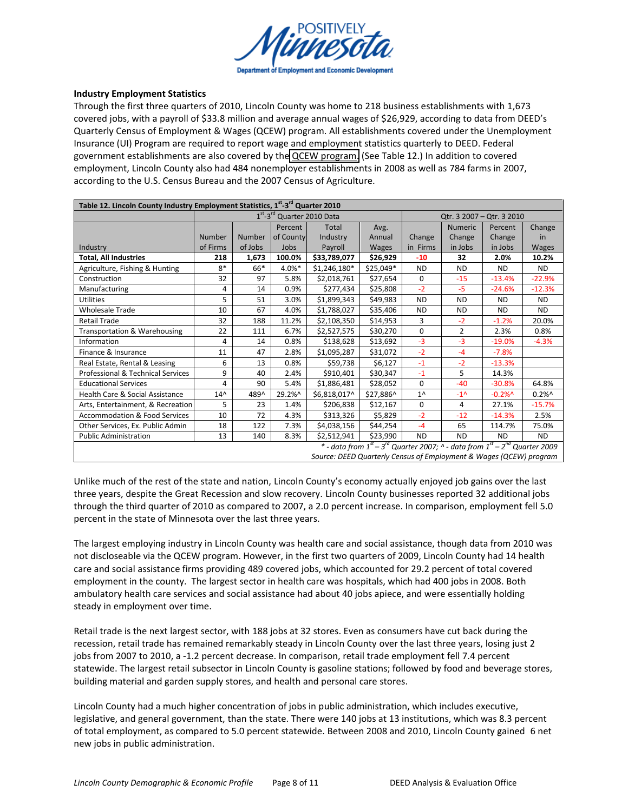

### **Industry Employment Statistics**

Through the first three quarters of 2010, Lincoln County was home to 218 business establishments with 1,673 covered jobs, with a payroll of \$33.8 million and average annual wages of \$26,929, according to data from DEED's Quarterly Census of Employment & Wages (QCEW) program. All establishments covered under the Unemployment Insurance (UI) Program are required to report wage and employment statistics quarterly to DEED. Federal government establishments are also covered by the **QCEW program.** (See Table 12.) In addition to covered employment, Lincoln County also had 484 nonemployer establishments in 2008 as well as 784 farms in 2007, according to the U.S. Census Bureau and the 2007 Census of Agriculture.

| Table 12. Lincoln County Industry Employment Statistics, 1 <sup>st</sup> -3 <sup>rd</sup> Quarter 2010<br>1 <sup>st</sup> -3 <sup>rd</sup> Quarter 2010 Data<br>Qtr. 3 2007 - Qtr. 3 2010 |                                                                                                                                                                                   |         |           |               |            |              |                |           |           |
|-------------------------------------------------------------------------------------------------------------------------------------------------------------------------------------------|-----------------------------------------------------------------------------------------------------------------------------------------------------------------------------------|---------|-----------|---------------|------------|--------------|----------------|-----------|-----------|
|                                                                                                                                                                                           |                                                                                                                                                                                   |         | Percent   | Total         | Avg.       |              | <b>Numeric</b> | Percent   | Change    |
|                                                                                                                                                                                           | Number                                                                                                                                                                            | Number  | of County | Industry      | Annual     | Change       | Change         | Change    | in        |
| Industry                                                                                                                                                                                  | of Firms                                                                                                                                                                          | of Jobs | Jobs      | Payroll       | Wages      | in Firms     | in Jobs        | in Jobs   | Wages     |
| <b>Total, All Industries</b>                                                                                                                                                              | 218                                                                                                                                                                               | 1,673   | 100.0%    | \$33,789,077  | \$26,929   | $-10$        | 32             | 2.0%      | 10.2%     |
| Agriculture, Fishing & Hunting                                                                                                                                                            | $8*$                                                                                                                                                                              | 66*     | 4.0%*     | $$1,246,180*$ | $$25,049*$ | <b>ND</b>    | <b>ND</b>      | <b>ND</b> | <b>ND</b> |
| Construction                                                                                                                                                                              | 32                                                                                                                                                                                | 97      | 5.8%      | \$2,018,761   | \$27,654   | 0            | $-15$          | $-13.4%$  | $-22.9%$  |
| Manufacturing                                                                                                                                                                             | 4                                                                                                                                                                                 | 14      | 0.9%      | \$277,434     | \$25,808   | $-2$         | $-5$           | $-24.6%$  | $-12.3%$  |
| <b>Utilities</b>                                                                                                                                                                          | 5                                                                                                                                                                                 | 51      | 3.0%      | \$1,899,343   | \$49,983   | <b>ND</b>    | <b>ND</b>      | <b>ND</b> | <b>ND</b> |
| <b>Wholesale Trade</b>                                                                                                                                                                    | 10                                                                                                                                                                                | 67      | 4.0%      | \$1,788,027   | \$35,406   | <b>ND</b>    | <b>ND</b>      | ND.       | ND.       |
| <b>Retail Trade</b>                                                                                                                                                                       | 32                                                                                                                                                                                | 188     | 11.2%     | \$2,108,350   | \$14,953   | 3            | $-2$           | $-1.2%$   | 20.0%     |
| Transportation & Warehousing                                                                                                                                                              | 22                                                                                                                                                                                | 111     | 6.7%      | \$2,527,575   | \$30,270   | 0            | $\overline{2}$ | 2.3%      | 0.8%      |
| Information                                                                                                                                                                               | 4                                                                                                                                                                                 | 14      | 0.8%      | \$138,628     | \$13,692   | $-3$         | $-3$           | $-19.0%$  | $-4.3%$   |
| Finance & Insurance                                                                                                                                                                       | 11                                                                                                                                                                                | 47      | 2.8%      | \$1,095,287   | \$31,072   | $-2$         | $-4$           | $-7.8%$   |           |
| Real Estate, Rental & Leasing                                                                                                                                                             | 6                                                                                                                                                                                 | 13      | 0.8%      | \$59,738      | \$6,127    | $-1$         | $-2$           | $-13.3%$  |           |
| Professional & Technical Services                                                                                                                                                         | 9                                                                                                                                                                                 | 40      | 2.4%      | \$910,401     | \$30,347   | $-1$         | 5              | 14.3%     |           |
| <b>Educational Services</b>                                                                                                                                                               | 4                                                                                                                                                                                 | 90      | 5.4%      | \$1,886,481   | \$28,052   | 0            | $-40$          | $-30.8%$  | 64.8%     |
| Health Care & Social Assistance                                                                                                                                                           | $14^$                                                                                                                                                                             | 489^    | 29.2%^    | \$6,818,017^  | \$27,886^  | $1^{\wedge}$ | $-1^{\prime}$  | $-0.2%$   | $0.2\%$ ^ |
| Arts, Entertainment, & Recreation                                                                                                                                                         | 5                                                                                                                                                                                 | 23      | 1.4%      | \$206,838     | \$12,167   | 0            | 4              | 27.1%     | $-15.7%$  |
| <b>Accommodation &amp; Food Services</b>                                                                                                                                                  | 10                                                                                                                                                                                | 72      | 4.3%      | \$313,326     | \$5,829    | $-2$         | $-12$          | $-14.3%$  | 2.5%      |
| Other Services, Ex. Public Admin                                                                                                                                                          | 18                                                                                                                                                                                | 122     | 7.3%      | \$4,038,156   | \$44,254   | $-4$         | 65             | 114.7%    | 75.0%     |
| <b>Public Administration</b>                                                                                                                                                              | 13                                                                                                                                                                                | 140     | 8.3%      | \$2,512,941   | \$23,990   | <b>ND</b>    | <b>ND</b>      | ND.       | ND.       |
|                                                                                                                                                                                           | * - data from $1^{st}$ – $3^{rd}$ Quarter 2007; $\overline{A}$ - data from $1^{st}$ – $2^{nd}$ Quarter 2009<br>Source: DEED Quarterly Census of Employment & Wages (QCEW) program |         |           |               |            |              |                |           |           |

Unlike much of the rest of the state and nation, Lincoln County's economy actually enjoyed job gains over the last three years, despite the Great Recession and slow recovery. Lincoln County businesses reported 32 additional jobs through the third quarter of 2010 as compared to 2007, a 2.0 percent increase. In comparison, employment fell 5.0 percent in the state of Minnesota over the last three years.

The largest employing industry in Lincoln County was health care and social assistance, though data from 2010 was not discloseable via the QCEW program. However, in the first two quarters of 2009, Lincoln County had 14 health care and social assistance firms providing 489 covered jobs, which accounted for 29.2 percent of total covered employment in the county. The largest sector in health care was hospitals, which had 400 jobs in 2008. Both ambulatory health care services and social assistance had about 40 jobs apiece, and were essentially holding steady in employment over time.

Retail trade is the next largest sector, with 188 jobs at 32 stores. Even as consumers have cut back during the recession, retail trade has remained remarkably steady in Lincoln County over the last three years, losing just 2 jobs from 2007 to 2010, a -1.2 percent decrease. In comparison, retail trade employment fell 7.4 percent statewide. The largest retail subsector in Lincoln County is gasoline stations; followed by food and beverage stores, building material and garden supply stores, and health and personal care stores.

Lincoln County had a much higher concentration of jobs in public administration, which includes executive, legislative, and general government, than the state. There were 140 jobs at 13 institutions, which was 8.3 percent of total employment, as compared to 5.0 percent statewide. Between 2008 and 2010, Lincoln County gained 6 net new jobs in public administration.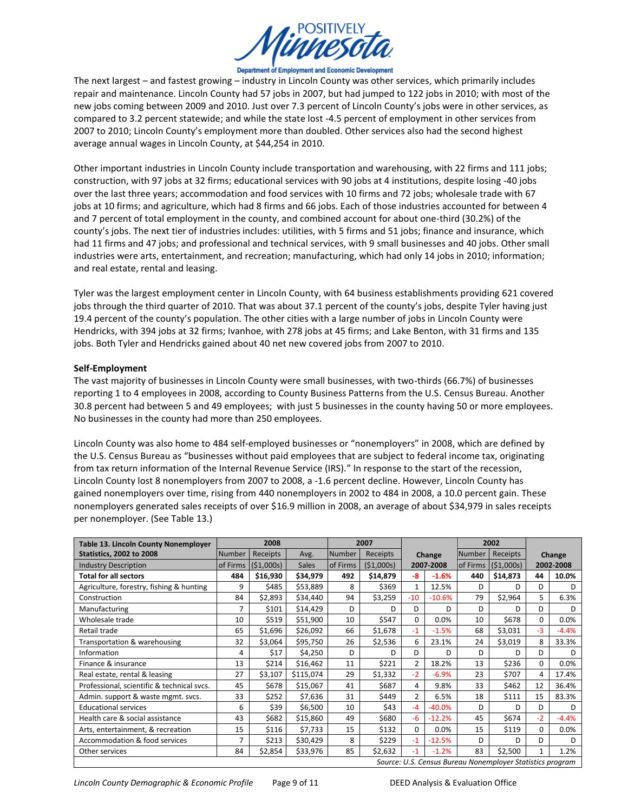

#### Department of Employment and Economic Development

The next largest – and fastest growing – industry in Lincoln County was other services, which primarily includes repair and maintenance. Lincoln County had 57 jobs in 2007, but had jumped to 122 jobs in 2010; with most of the new jobs coming between 2009 and 2010. Just over 7.3 percent of Lincoln County's jobs were in other services, as compared to 3.2 percent statewide; and while the state lost -4.5 percent of employment in other services from 2007 to 2010; Lincoln County's employment more than doubled. Other services also had the second highest average annual wages in Lincoln County, at \$44,254 in 2010.

Other important industries in Lincoln County include transportation and warehousing, with 22 firms and 111 jobs; construction, with 97 jobs at 32 firms; educational services with 90 jobs at 4 institutions, despite losing -40 jobs over the last three years; accommodation and food services with 10 firms and 72 jobs; wholesale trade with 67 jobs at 10 firms; and agriculture, which had 8 firms and 66 jobs. Each of those industries accounted for between 4 and 7 percent of total employment in the county, and combined account for about one-third (30.2%) of the county's jobs. The next tier of industries includes: utilities, with 5 firms and 51 jobs; finance and insurance, which had 11 firms and 47 jobs; and professional and technical services, with 9 small businesses and 40 jobs. Other small industries were arts, entertainment, and recreation; manufacturing, which had only 14 jobs in 2010; information; and real estate, rental and leasing.

Tyler was the largest employment center in Lincoln County, with 64 business establishments providing 621 covered jobs through the third quarter of 2010. That was about 37.1 percent of the county's jobs, despite Tyler having just 19.4 percent of the county's population. The other cities with a large number of jobs in Lincoln County were Hendricks, with 394 jobs at 32 firms; Ivanhoe, with 278 jobs at 45 firms; and Lake Benton, with 31 firms and 135 jobs. Both Tyler and Hendricks gained about 40 net new covered jobs from 2007 to 2010.

### **Self-Employment**

The vast majority of businesses in Lincoln County were small businesses, with two-thirds (66.7%) of businesses reporting 1 to 4 employees in 2008, according to County Business Patterns from the U.S. Census Bureau. Another 30.8 percent had between 5 and 49 employees; with just 5 businesses in the county having 50 or more employees. No businesses in the county had more than 250 employees.

Lincoln County was also home to 484 self-employed businesses or "nonemployers" in 2008, which are defined by the U.S. Census Bureau as "businesses without paid employees that are subject to federal income tax, originating from tax return information of the Internal Revenue Service (IRS).<sup>"</sup> In response to the start of the recession, Lincoln County lost 8 nonemployers from 2007 to 2008, a -1.6 percent decline. However, Lincoln County has gained nonemployers over time, rising from 440 nonemployers in 2002 to 484 in 2008, a 10.0 percent gain. These nonemployers generated sales receipts of over \$16.9 million in 2008, an average of about \$34,979 in sales receipts per nonemployer. (See Table 13.)

| Table 13. Lincoln County Nonemployer                      | 2008          |           |              |               | 2007      |                |          | 2002     |           |           |         |
|-----------------------------------------------------------|---------------|-----------|--------------|---------------|-----------|----------------|----------|----------|-----------|-----------|---------|
| <b>Statistics, 2002 to 2008</b>                           | <b>Number</b> | Receipts  | Avg.         | <b>Number</b> | Receipts  | Change         |          | Number   | Receipts  | Change    |         |
| <b>Industry Description</b>                               | of Firms      | (51,000s) | <b>Sales</b> | of Firms      | (51,000s) | 2007-2008      |          | of Firms | (51,000s) | 2002-2008 |         |
| <b>Total for all sectors</b>                              | 484           | \$16,930  | \$34,979     | 492           | \$14,879  | -8             | $-1.6%$  | 440      | \$14,873  | 44        | 10.0%   |
| Agriculture, forestry, fishing & hunting                  | 9             | \$485     | \$53,889     | 8             | \$369     | $\mathbf{1}$   | 12.5%    | D        | D         | D         | D       |
| Construction                                              | 84            | \$2,893   | \$34,440     | 94            | \$3,259   | $-10$          | $-10.6%$ | 79       | \$2,964   | 5.        | 6.3%    |
| Manufacturing                                             | 7             | \$101     | \$14,429     | D             | D         | D              | D        | D        | D.        | D         | D       |
| Wholesale trade                                           | 10            | \$519     | \$51,900     | 10            | \$547     | $\Omega$       | 0.0%     | 10       | \$678     | $\Omega$  | 0.0%    |
| Retail trade                                              | 65            | \$1,696   | \$26,092     | 66            | \$1,678   | $-1$           | $-1.5%$  | 68       | \$3,031   | $-3$      | $-4.4%$ |
| Transportation & warehousing                              | 32            | \$3,064   | \$95,750     | 26            | \$2,536   | 6              | 23.1%    | 24       | \$3,019   | 8         | 33.3%   |
| Information                                               | 4             | \$17      | \$4,250      | D             | D         | D              | D        | D        | D         | D         | D       |
| Finance & insurance                                       | 13            | \$214     | \$16,462     | 11            | \$221     | $\overline{2}$ | 18.2%    | 13       | \$236     | $\Omega$  | 0.0%    |
| Real estate, rental & leasing                             | 27            | \$3,107   | \$115,074    | 29            | \$1,332   | $-2$           | $-6.9%$  | 23       | \$707     | 4         | 17.4%   |
| Professional, scientific & technical svcs.                | 45            | \$678     | \$15,067     | 41            | \$687     | 4              | 9.8%     | 33       | \$462     | 12        | 36.4%   |
| Admin. support & waste mgmt. svcs.                        | 33            | \$252     | \$7,636      | 31            | \$449     | $\overline{2}$ | 6.5%     | 18       | \$111     | 15        | 83.3%   |
| <b>Educational services</b>                               | 6             | \$39      | \$6,500      | 10            | \$43      | $-4$           | $-40.0%$ | D        | D         | D         | D       |
| Health care & social assistance                           | 43            | \$682     | \$15,860     | 49            | \$680     | $-6$           | $-12.2%$ | 45       | \$674     | $-2$      | $-4.4%$ |
| Arts, entertainment, & recreation                         | 15            | \$116     | \$7,733      | 15            | \$132     | 0              | 0.0%     | 15       | \$119     | $\Omega$  | 0.0%    |
| Accommodation & food services                             | 7             | \$213     | \$30,429     | 8             | \$229     | $-1$           | $-12.5%$ | D.       | D         | D         | D       |
| Other services                                            | 84            | \$2,854   | \$33,976     | 85            | \$2,632   | $-1$           | $-1.2%$  | 83       | \$2,500   |           | 1.2%    |
| Source: U.S. Census Bureau Nonemployer Statistics program |               |           |              |               |           |                |          |          |           |           |         |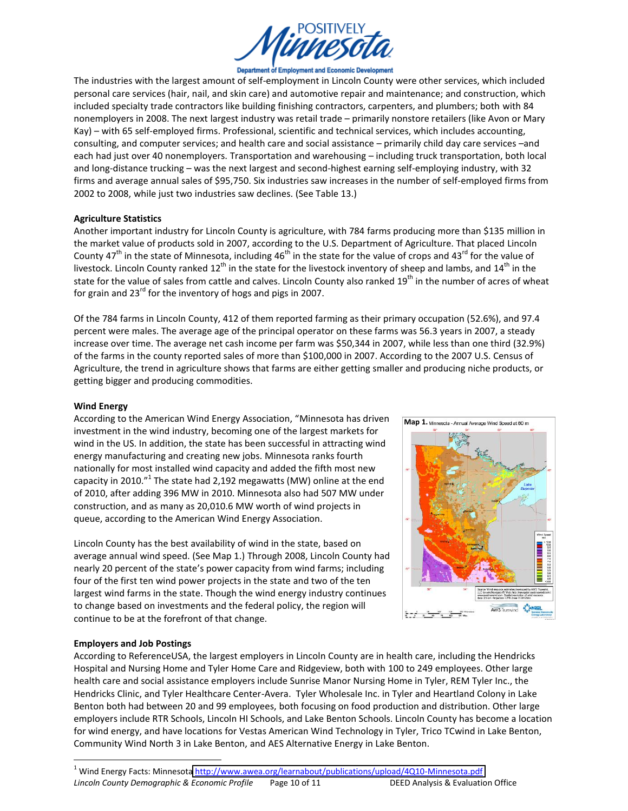

#### Department of Employment and Economic Development

The industries with the largest amount of self-employment in Lincoln County were other services, which included personal care services (hair, nail, and skin care) and automotive repair and maintenance; and construction, which included specialty trade contractors like building finishing contractors, carpenters, and plumbers; both with 84 nonemployers in 2008. The next largest industry was retail trade - primarily nonstore retailers (like Avon or Mary Kay) - with 65 self-employed firms. Professional, scientific and technical services, which includes accounting, consulting, and computer services; and health care and social assistance – primarily child day care services –and each had just over 40 nonemployers. Transportation and warehousing - including truck transportation, both local and long-distance trucking - was the next largest and second-highest earning self-employing industry, with 32 firms and average annual sales of \$95,750. Six industries saw increases in the number of self-employed firms from 2002 to 2008, while just two industries saw declines. (See Table 13.)

### **Agriculture!Statistics**

Another important industry for Lincoln County is agriculture, with 784 farms producing more than \$135 million in the market value of products sold in 2007, according to the U.S. Department of Agriculture. That placed Lincoln County 47<sup>th</sup> in the state of Minnesota, including 46<sup>th</sup> in the state for the value of crops and 43<sup>rd</sup> for the value of livestock. Lincoln County ranked 12<sup>th</sup> in the state for the livestock inventory of sheep and lambs, and 14<sup>th</sup> in the state for the value of sales from cattle and calves. Lincoln County also ranked 19<sup>th</sup> in the number of acres of wheat for grain and  $23^{\text{rd}}$  for the inventory of hogs and pigs in 2007.

Of the 784 farms in Lincoln County, 412 of them reported farming as their primary occupation (52.6%), and 97.4 percent were males. The average age of the principal operator on these farms was 56.3 years in 2007, a steady increase over time. The average net cash income per farm was \$50,344 in 2007, while less than one third (32.9%) of the farms in the county reported sales of more than \$100,000 in 2007. According to the 2007 U.S. Census of Agriculture, the trend in agriculture shows that farms are either getting smaller and producing niche products, or getting bigger and producing commodities.

## **Wind!Energy**

According to the American Wind Energy Association, "Minnesota has driven investment in the wind industry, becoming one of the largest markets for wind in the US. In addition, the state has been successful in attracting wind energy manufacturing and creating new jobs. Minnesota ranks fourth nationally for most installed wind capacity and added the fifth most new capacity in 2010. $^{\prime\prime}$  The state had 2,192 megawatts (MW) online at the end of 2010, after adding 396 MW in 2010. Minnesota also had 507 MW under construction, and as many as 20,010.6 MW worth of wind projects in queue, according to the American Wind Energy Association.

Lincoln County has the best availability of wind in the state, based on average annual wind speed. (See Map 1.) Through 2008, Lincoln County had nearly 20 percent of the state's power capacity from wind farms; including four of the first ten wind power projects in the state and two of the ten largest wind farms in the state. Though the wind energy industry continues to change based on investments and the federal policy, the region will continue to be at the forefront of that change.



## **Employers!and!Job!Postings**

According to ReferenceUSA, the largest employers in Lincoln County are in health care, including the Hendricks Hospital and Nursing Home and Tyler Home Care and Ridgeview, both with 100 to 249 employees. Other large health care and social assistance employers include Sunrise Manor Nursing Home in Tyler, REM Tyler Inc., the Hendricks Clinic, and Tyler Healthcare Center-Avera. Tyler Wholesale Inc. in Tyler and Heartland Colony in Lake Benton both had between 20 and 99 employees, both focusing on food production and distribution. Other large employers include RTR Schools, Lincoln HI Schools, and Lake Benton Schools. Lincoln County has become a location for wind energy, and have locations for Vestas American Wind Technology in Tyler, Trico TCwind in Lake Benton, Community Wind North 3 in Lake Benton, and AES Alternative Energy in Lake Benton.

Lincoln County Demographic & Economic Profile Page 10 of 11 DEED Analysis & Evaluation Office <sup>1</sup> Wind Energy Facts: Minnesota http://www.awea.org/learnabout/publications/upload/4Q10-Minnesota.pdf